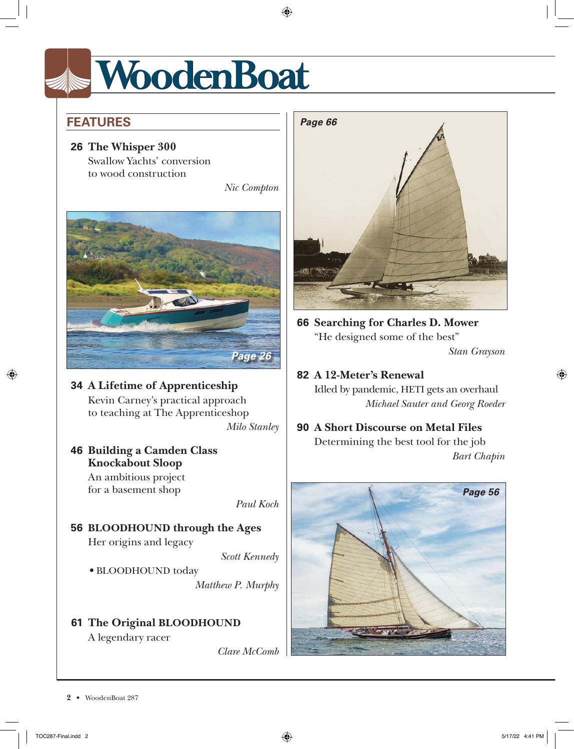$\bigoplus$ 

# **FEATURES**

### **26 The Whisper 300 Swallow Yachts' conversion** to wood construction

*Nic Compton* 



### **34 A Lifetime of Apprenticeship** Kevin Carney's practical approach to teaching at The Apprenticeshop

*Milo Stanley* 

**46 Building a Camden Class Knockabout Sloop**

An ambitious project for a basement shop

*Paul Koch* 

- **56 BLOODHOUND through the Ages** Her origins and legacy *Scott Kennedy*
	- BLOODHOUND today *Matthew P. Murphy*
- **61 The Original BLOODHOUND** A legendary racer

*Clare McComb*

*Page 66*

**66 Searching for Charles D. Mower** "He designed some of the best" *Stan Grayson* 

### **82 A 12-Meter's Renewal**

Idled by pandemic, HETI gets an overhaul *Michael Sauter and Georg Roeder*

**90 A Short Discourse on Metal Files** Determining the best tool for the job *Bart Chapin*



2 • WoodenBoat 287

⊕

⊕